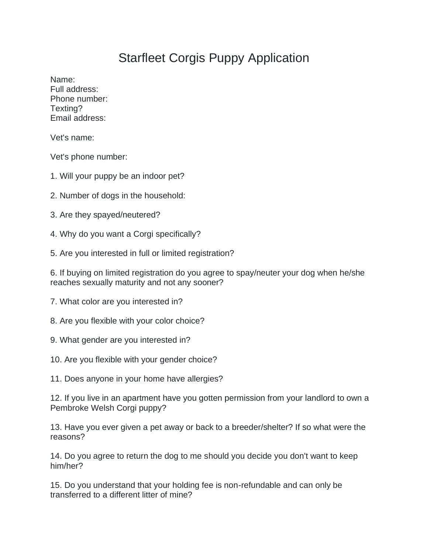## Starfleet Corgis Puppy Application

Name: Full address: Phone number: Texting? Email address:

Vet's name:

Vet's phone number:

1. Will your puppy be an indoor pet?

2. Number of dogs in the household:

3. Are they spayed/neutered?

4. Why do you want a Corgi specifically?

5. Are you interested in full or limited registration?

6. If buying on limited registration do you agree to spay/neuter your dog when he/she reaches sexually maturity and not any sooner?

7. What color are you interested in?

8. Are you flexible with your color choice?

9. What gender are you interested in?

10. Are you flexible with your gender choice?

11. Does anyone in your home have allergies?

12. If you live in an apartment have you gotten permission from your landlord to own a Pembroke Welsh Corgi puppy?

13. Have you ever given a pet away or back to a breeder/shelter? If so what were the reasons?

14. Do you agree to return the dog to me should you decide you don't want to keep him/her?

15. Do you understand that your holding fee is non-refundable and can only be transferred to a different litter of mine?